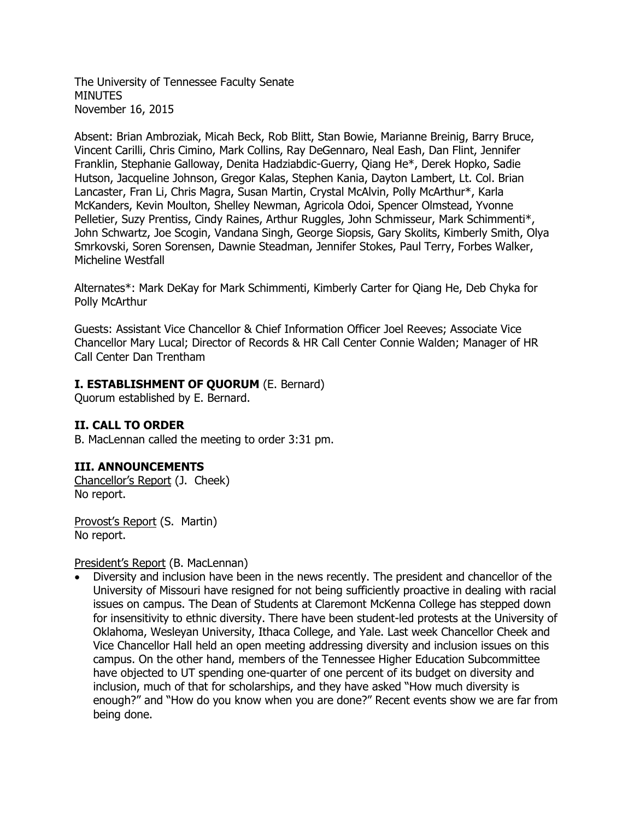The University of Tennessee Faculty Senate **MINUTES** November 16, 2015

Absent: Brian Ambroziak, Micah Beck, Rob Blitt, Stan Bowie, Marianne Breinig, Barry Bruce, Vincent Carilli, Chris Cimino, Mark Collins, Ray DeGennaro, Neal Eash, Dan Flint, Jennifer Franklin, Stephanie Galloway, Denita Hadziabdic-Guerry, Qiang He\*, Derek Hopko, Sadie Hutson, Jacqueline Johnson, Gregor Kalas, Stephen Kania, Dayton Lambert, Lt. Col. Brian Lancaster, Fran Li, Chris Magra, Susan Martin, Crystal McAlvin, Polly McArthur\*, Karla McKanders, Kevin Moulton, Shelley Newman, Agricola Odoi, Spencer Olmstead, Yvonne Pelletier, Suzy Prentiss, Cindy Raines, Arthur Ruggles, John Schmisseur, Mark Schimmenti\*, John Schwartz, Joe Scogin, Vandana Singh, George Siopsis, Gary Skolits, Kimberly Smith, Olya Smrkovski, Soren Sorensen, Dawnie Steadman, Jennifer Stokes, Paul Terry, Forbes Walker, Micheline Westfall

Alternates\*: Mark DeKay for Mark Schimmenti, Kimberly Carter for Qiang He, Deb Chyka for Polly McArthur

Guests: Assistant Vice Chancellor & Chief Information Officer Joel Reeves; Associate Vice Chancellor Mary Lucal; Director of Records & HR Call Center Connie Walden; Manager of HR Call Center Dan Trentham

### **I. ESTABLISHMENT OF QUORUM** (E. Bernard)

Quorum established by E. Bernard.

### **II. CALL TO ORDER**

B. MacLennan called the meeting to order 3:31 pm.

### **III. ANNOUNCEMENTS**

Chancellor's Report (J. Cheek) No report.

Provost's Report (S. Martin) No report.

#### President's Report (B. MacLennan)

 Diversity and inclusion have been in the news recently. The president and chancellor of the University of Missouri have resigned for not being sufficiently proactive in dealing with racial issues on campus. The Dean of Students at Claremont McKenna College has stepped down for insensitivity to ethnic diversity. There have been student-led protests at the University of Oklahoma, Wesleyan University, Ithaca College, and Yale. Last week Chancellor Cheek and Vice Chancellor Hall held an open meeting addressing diversity and inclusion issues on this campus. On the other hand, members of the Tennessee Higher Education Subcommittee have objected to UT spending one-quarter of one percent of its budget on diversity and inclusion, much of that for scholarships, and they have asked "How much diversity is enough?" and "How do you know when you are done?" Recent events show we are far from being done.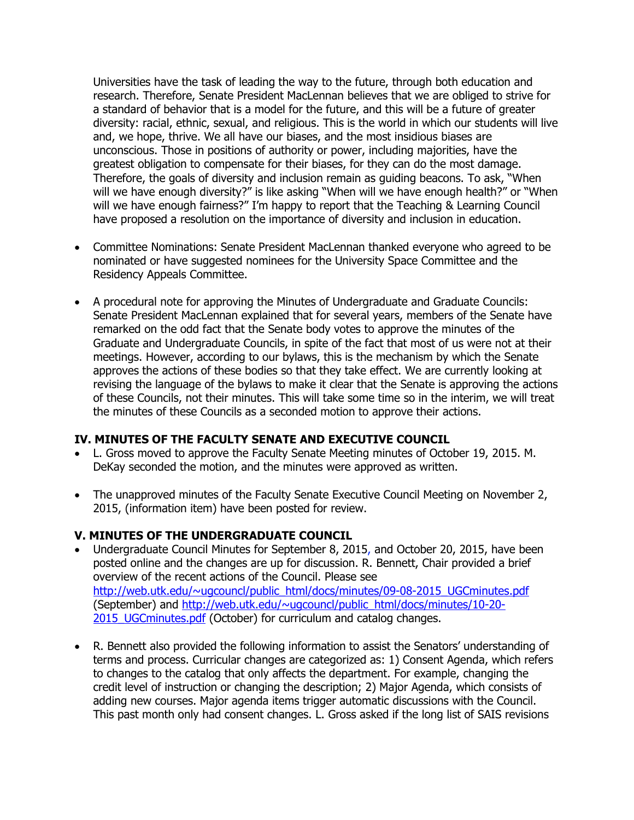Universities have the task of leading the way to the future, through both education and research. Therefore, Senate President MacLennan believes that we are obliged to strive for a standard of behavior that is a model for the future, and this will be a future of greater diversity: racial, ethnic, sexual, and religious. This is the world in which our students will live and, we hope, thrive. We all have our biases, and the most insidious biases are unconscious. Those in positions of authority or power, including majorities, have the greatest obligation to compensate for their biases, for they can do the most damage. Therefore, the goals of diversity and inclusion remain as guiding beacons. To ask, "When will we have enough diversity?" is like asking "When will we have enough health?" or "When will we have enough fairness?" I'm happy to report that the Teaching & Learning Council have proposed a resolution on the importance of diversity and inclusion in education.

- Committee Nominations: Senate President MacLennan thanked everyone who agreed to be nominated or have suggested nominees for the University Space Committee and the Residency Appeals Committee.
- A procedural note for approving the Minutes of Undergraduate and Graduate Councils: Senate President MacLennan explained that for several years, members of the Senate have remarked on the odd fact that the Senate body votes to approve the minutes of the Graduate and Undergraduate Councils, in spite of the fact that most of us were not at their meetings. However, according to our bylaws, this is the mechanism by which the Senate approves the actions of these bodies so that they take effect. We are currently looking at revising the language of the bylaws to make it clear that the Senate is approving the actions of these Councils, not their minutes. This will take some time so in the interim, we will treat the minutes of these Councils as a seconded motion to approve their actions.

### **IV. MINUTES OF THE FACULTY SENATE AND EXECUTIVE COUNCIL**

- L. Gross moved to approve the Faculty Senate Meeting minutes of October 19, 2015. M. DeKay seconded the motion, and the minutes were approved as written.
- The unapproved minutes of the Faculty Senate Executive Council Meeting on November 2, 2015, (information item) have been posted for review.

### **V. MINUTES OF THE UNDERGRADUATE COUNCIL**

- Undergraduate Council Minutes for September 8, 2015, and October 20, 2015, have been posted online and the changes are up for discussion. R. Bennett, Chair provided a brief overview of the recent actions of the Council. Please see [http://web.utk.edu/~ugcouncl/public\\_html/docs/minutes/09-08-2015\\_UGCminutes.pdf](http://web.utk.edu/~ugcouncl/public_html/docs/minutes/09-08-2015_UGCminutes.pdf) (September) and [http://web.utk.edu/~ugcouncl/public\\_html/docs/minutes/10-20-](http://web.utk.edu/~ugcouncl/public_html/docs/minutes/10-20-2015_UGCminutes.pdf) 2015 UGCminutes.pdf (October) for curriculum and catalog changes.
- R. Bennett also provided the following information to assist the Senators' understanding of terms and process. Curricular changes are categorized as: 1) Consent Agenda, which refers to changes to the catalog that only affects the department. For example, changing the credit level of instruction or changing the description; 2) Major Agenda, which consists of adding new courses. Major agenda items trigger automatic discussions with the Council. This past month only had consent changes. L. Gross asked if the long list of SAIS revisions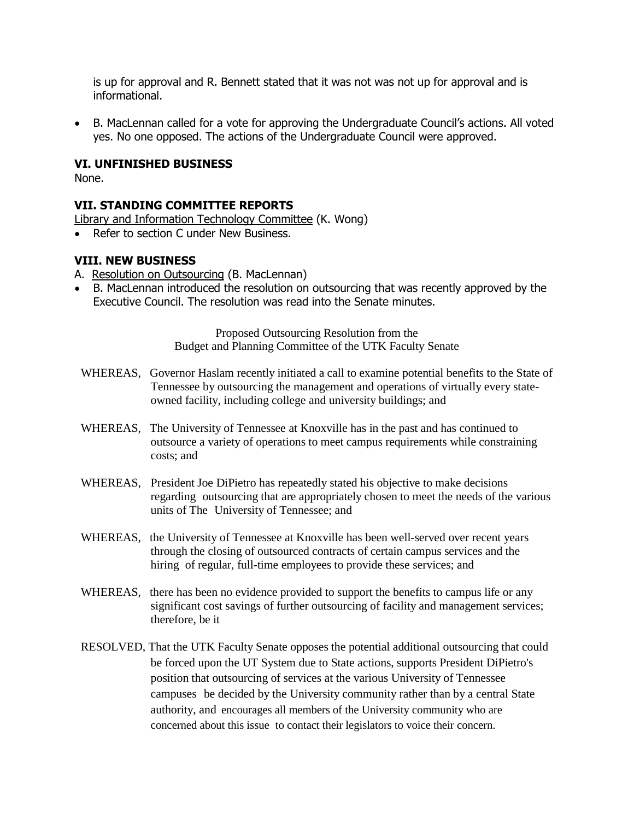is up for approval and R. Bennett stated that it was not was not up for approval and is informational.

 B. MacLennan called for a vote for approving the Undergraduate Council's actions. All voted yes. No one opposed. The actions of the Undergraduate Council were approved.

### **VI. UNFINISHED BUSINESS**

None.

### **VII. STANDING COMMITTEE REPORTS**

- Library and Information Technology Committee (K. Wong)
- Refer to section C under New Business.

### **VIII. NEW BUSINESS**

- A. Resolution on Outsourcing (B. MacLennan)
- B. MacLennan introduced the resolution on outsourcing that was recently approved by the Executive Council. The resolution was read into the Senate minutes.

Proposed Outsourcing Resolution from the Budget and Planning Committee of the UTK Faculty Senate

- WHEREAS, Governor Haslam recently initiated a call to examine potential benefits to the State of Tennessee by outsourcing the management and operations of virtually every stateowned facility, including college and university buildings; and
- WHEREAS, The University of Tennessee at Knoxville has in the past and has continued to outsource a variety of operations to meet campus requirements while constraining costs; and
- WHEREAS, President Joe DiPietro has repeatedly stated his objective to make decisions regarding outsourcing that are appropriately chosen to meet the needs of the various units of The University of Tennessee; and
- WHEREAS, the University of Tennessee at Knoxville has been well-served over recent years through the closing of outsourced contracts of certain campus services and the hiring of regular, full-time employees to provide these services; and
- WHEREAS, there has been no evidence provided to support the benefits to campus life or any significant cost savings of further outsourcing of facility and management services; therefore, be it
- RESOLVED, That the UTK Faculty Senate opposes the potential additional outsourcing that could be forced upon the UT System due to State actions, supports President DiPietro's position that outsourcing of services at the various University of Tennessee campuses be decided by the University community rather than by a central State authority, and encourages all members of the University community who are concerned about this issue to contact their legislators to voice their concern.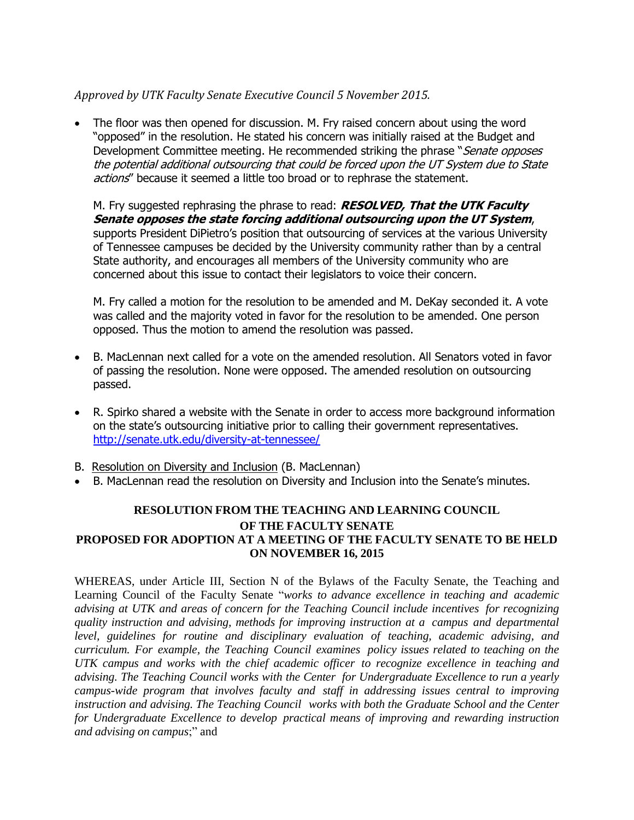# *Approved by UTK Faculty Senate Executive Council 5 November 2015.*

 The floor was then opened for discussion. M. Fry raised concern about using the word "opposed" in the resolution. He stated his concern was initially raised at the Budget and Development Committee meeting. He recommended striking the phrase "*Senate opposes* the potential additional outsourcing that could be forced upon the UT System due to State actions" because it seemed a little too broad or to rephrase the statement.

M. Fry suggested rephrasing the phrase to read: **RESOLVED, That the UTK Faculty Senate opposes the state forcing additional outsourcing upon the UT System**, supports President DiPietro's position that outsourcing of services at the various University of Tennessee campuses be decided by the University community rather than by a central State authority, and encourages all members of the University community who are concerned about this issue to contact their legislators to voice their concern.

M. Fry called a motion for the resolution to be amended and M. DeKay seconded it. A vote was called and the majority voted in favor for the resolution to be amended. One person opposed. Thus the motion to amend the resolution was passed.

- B. MacLennan next called for a vote on the amended resolution. All Senators voted in favor of passing the resolution. None were opposed. The amended resolution on outsourcing passed.
- R. Spirko shared a website with the Senate in order to access more background information on the state's outsourcing initiative prior to calling their government representatives. <http://senate.utk.edu/diversity-at-tennessee/>
- B. Resolution on Diversity and Inclusion (B. MacLennan)
- B. MacLennan read the resolution on Diversity and Inclusion into the Senate's minutes.

## **RESOLUTION FROM THE TEACHING AND LEARNING COUNCIL OF THE FACULTY SENATE PROPOSED FOR ADOPTION AT A MEETING OF THE FACULTY SENATE TO BE HELD ON NOVEMBER 16, 2015**

WHEREAS, under Article III, Section N of the Bylaws of the Faculty Senate, the Teaching and Learning Council of the Faculty Senate "*works to advance excellence in teaching and academic advising at UTK and areas of concern for the Teaching Council include incentives for recognizing quality instruction and advising, methods for improving instruction at a campus and departmental level, guidelines for routine and disciplinary evaluation of teaching, academic advising, and curriculum. For example, the Teaching Council examines policy issues related to teaching on the UTK campus and works with the chief academic officer to recognize excellence in teaching and advising. The Teaching Council works with the Center for Undergraduate Excellence to run a yearly campus-wide program that involves faculty and staff in addressing issues central to improving instruction and advising. The Teaching Council works with both the Graduate School and the Center for Undergraduate Excellence to develop practical means of improving and rewarding instruction and advising on campus*;" and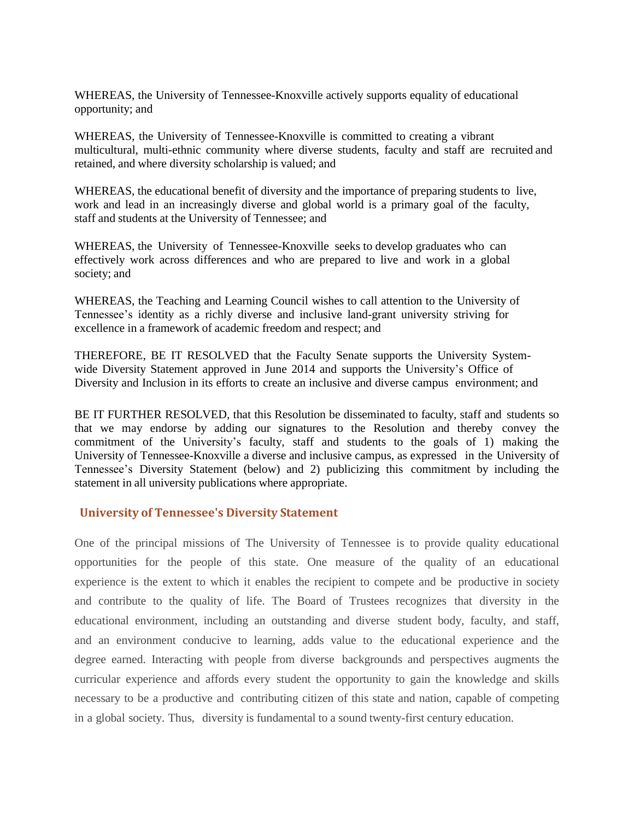WHEREAS, the University of Tennessee-Knoxville actively supports equality of educational opportunity; and

WHEREAS, the University of Tennessee-Knoxville is committed to creating a vibrant multicultural, multi-ethnic community where diverse students, faculty and staff are recruited and retained, and where diversity scholarship is valued; and

WHEREAS, the educational benefit of diversity and the importance of preparing students to live, work and lead in an increasingly diverse and global world is a primary goal of the faculty, staff and students at the University of Tennessee; and

WHEREAS, the University of Tennessee-Knoxville seeks to develop graduates who can effectively work across differences and who are prepared to live and work in a global society; and

WHEREAS, the Teaching and Learning Council wishes to call attention to the University of Tennessee's identity as a richly diverse and inclusive land-grant university striving for excellence in a framework of academic freedom and respect; and

THEREFORE, BE IT RESOLVED that the Faculty Senate supports the University Systemwide Diversity Statement approved in June 2014 and supports the University's Office of Diversity and Inclusion in its efforts to create an inclusive and diverse campus environment; and

BE IT FURTHER RESOLVED, that this Resolution be disseminated to faculty, staff and students so that we may endorse by adding our signatures to the Resolution and thereby convey the commitment of the University's faculty, staff and students to the goals of 1) making the University of Tennessee-Knoxville a diverse and inclusive campus, as expressed in the University of Tennessee's Diversity Statement (below) and 2) publicizing this commitment by including the statement in all university publications where appropriate.

#### **University of Tennessee's Diversity Statement**

One of the principal missions of The University of Tennessee is to provide quality educational opportunities for the people of this state. One measure of the quality of an educational experience is the extent to which it enables the recipient to compete and be productive in society and contribute to the quality of life. The Board of Trustees recognizes that diversity in the educational environment, including an outstanding and diverse student body, faculty, and staff, and an environment conducive to learning, adds value to the educational experience and the degree earned. Interacting with people from diverse backgrounds and perspectives augments the curricular experience and affords every student the opportunity to gain the knowledge and skills necessary to be a productive and contributing citizen of this state and nation, capable of competing in a global society. Thus, diversity is fundamental to a sound twenty-first century education.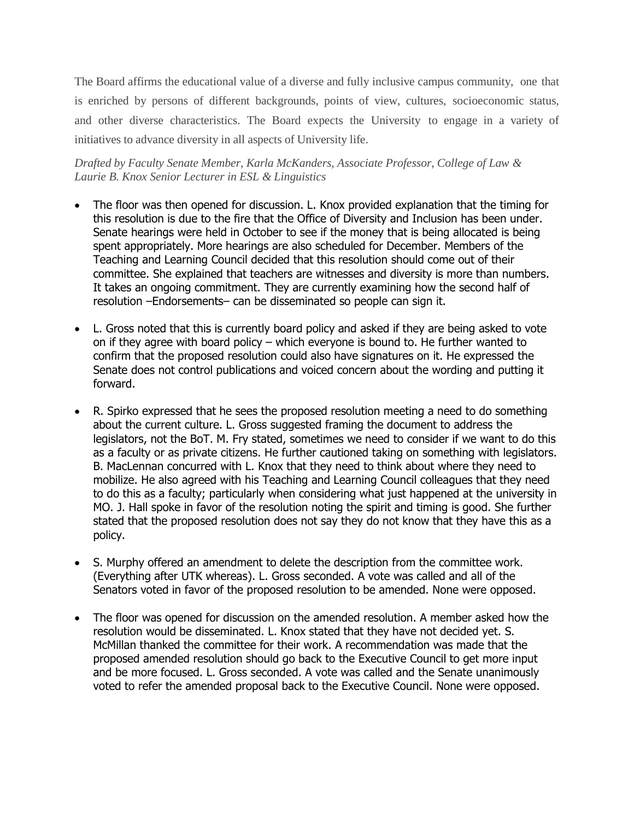The Board affirms the educational value of a diverse and fully inclusive campus community, one that is enriched by persons of different backgrounds, points of view, cultures, socioeconomic status, and other diverse characteristics. The Board expects the University to engage in a variety of initiatives to advance diversity in all aspects of University life.

*Drafted by Faculty Senate Member, Karla McKanders, Associate Professor, College of Law & Laurie B. Knox Senior Lecturer in ESL & Linguistics*

- The floor was then opened for discussion. L. Knox provided explanation that the timing for this resolution is due to the fire that the Office of Diversity and Inclusion has been under. Senate hearings were held in October to see if the money that is being allocated is being spent appropriately. More hearings are also scheduled for December. Members of the Teaching and Learning Council decided that this resolution should come out of their committee. She explained that teachers are witnesses and diversity is more than numbers. It takes an ongoing commitment. They are currently examining how the second half of resolution –Endorsements– can be disseminated so people can sign it.
- L. Gross noted that this is currently board policy and asked if they are being asked to vote on if they agree with board policy – which everyone is bound to. He further wanted to confirm that the proposed resolution could also have signatures on it. He expressed the Senate does not control publications and voiced concern about the wording and putting it forward.
- R. Spirko expressed that he sees the proposed resolution meeting a need to do something about the current culture. L. Gross suggested framing the document to address the legislators, not the BoT. M. Fry stated, sometimes we need to consider if we want to do this as a faculty or as private citizens. He further cautioned taking on something with legislators. B. MacLennan concurred with L. Knox that they need to think about where they need to mobilize. He also agreed with his Teaching and Learning Council colleagues that they need to do this as a faculty; particularly when considering what just happened at the university in MO. J. Hall spoke in favor of the resolution noting the spirit and timing is good. She further stated that the proposed resolution does not say they do not know that they have this as a policy.
- S. Murphy offered an amendment to delete the description from the committee work. (Everything after UTK whereas). L. Gross seconded. A vote was called and all of the Senators voted in favor of the proposed resolution to be amended. None were opposed.
- The floor was opened for discussion on the amended resolution. A member asked how the resolution would be disseminated. L. Knox stated that they have not decided yet. S. McMillan thanked the committee for their work. A recommendation was made that the proposed amended resolution should go back to the Executive Council to get more input and be more focused. L. Gross seconded. A vote was called and the Senate unanimously voted to refer the amended proposal back to the Executive Council. None were opposed.